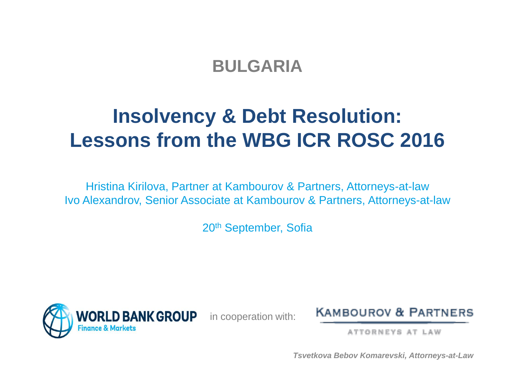#### **BULGARIA**

# **Insolvency & Debt Resolution: Lessons from the WBG ICR ROSC 2016**

Hristina Kirilova, Partner at Kambourov & Partners, Attorneys-at-law Ivo Alexandrov, Senior Associate at Kambourov & Partners, Attorneys-at-law

20th September, Sofia





ATTORNEYS AT LAW

*Tsvetkova Bebov Komarevski, Attorneys-at-Law*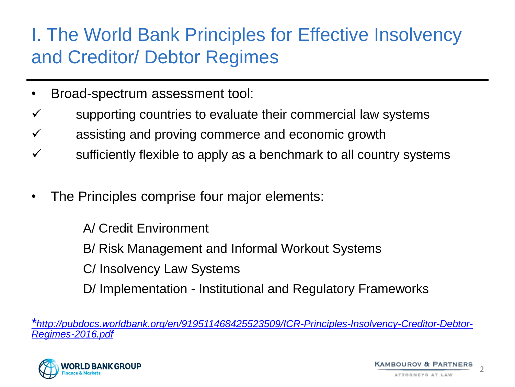### I. The World Bank Principles for Effective Insolvency and Creditor/ Debtor Regimes

- Broad-spectrum assessment tool:
- $\checkmark$  supporting countries to evaluate their commercial law systems
- $\checkmark$  assisting and proving commerce and economic growth
- $\checkmark$  sufficiently flexible to apply as a benchmark to all country systems
- The Principles comprise four major elements:

A/ Credit Environment

B/ Risk Management and Informal Workout Systems

C/ Insolvency Law Systems

D/ Implementation - Institutional and Regulatory Frameworks

*\*[http://pubdocs.worldbank.org/en/919511468425523509/ICR-Principles-Insolvency-Creditor-Debtor-](http://pubdocs.worldbank.org/en/919511468425523509/ICR-Principles-Insolvency-Creditor-Debtor-Regimes-2016.pdf)Regimes-2016.pdf*

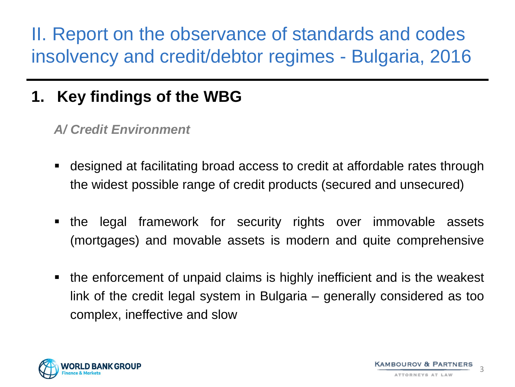### **1. Key findings of the WBG**

*A/ Credit Environment* 

- designed at facilitating broad access to credit at affordable rates through the widest possible range of credit products (secured and unsecured)
- the legal framework for security rights over immovable assets (mortgages) and movable assets is modern and quite comprehensive
- the enforcement of unpaid claims is highly inefficient and is the weakest link of the credit legal system in Bulgaria – generally considered as too complex, ineffective and slow

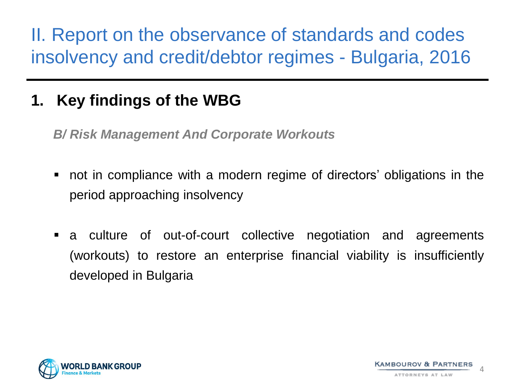### **1. Key findings of the WBG**

*B/ Risk Management And Corporate Workouts*

- not in compliance with a modern regime of directors' obligations in the period approaching insolvency
- a culture of out-of-court collective negotiation and agreements (workouts) to restore an enterprise financial viability is insufficiently developed in Bulgaria

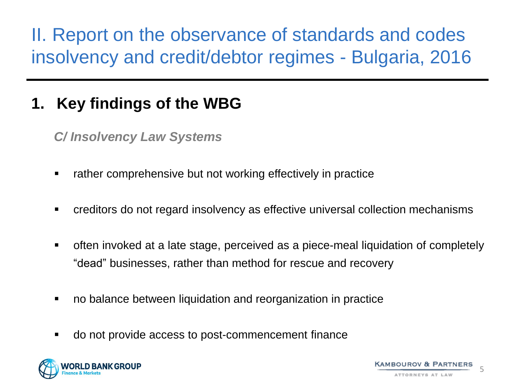### **1. Key findings of the WBG**

*C/ Insolvency Law Systems* 

- rather comprehensive but not working effectively in practice
- creditors do not regard insolvency as effective universal collection mechanisms
- often invoked at a late stage, perceived as a piece-meal liquidation of completely "dead" businesses, rather than method for rescue and recovery
- no balance between liquidation and reorganization in practice
- do not provide access to post-commencement finance

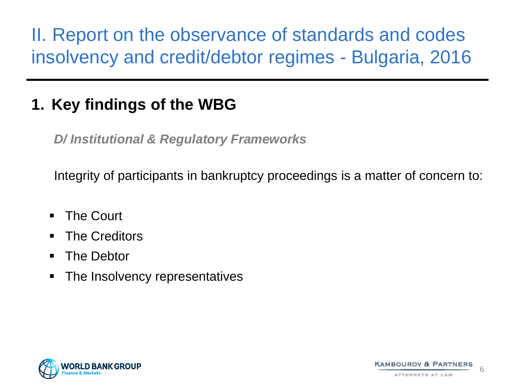#### **1. Key findings of the WBG**

*D/ Institutional & Regulatory Frameworks*

Integrity of participants in bankruptcy proceedings is a matter of concern to:

- **The Court**
- **The Creditors**
- **The Debtor**
- The Insolvency representatives



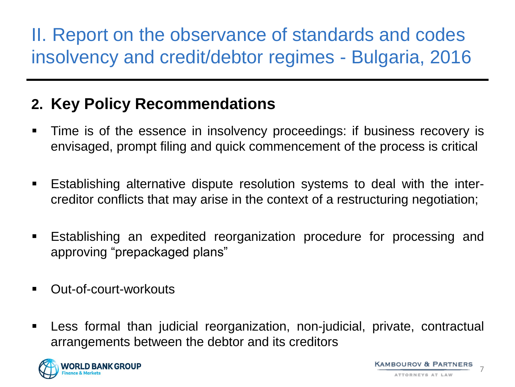#### **2. Key Policy Recommendations**

- Time is of the essence in insolvency proceedings: if business recovery is envisaged, prompt filing and quick commencement of the process is critical
- Establishing alternative dispute resolution systems to deal with the intercreditor conflicts that may arise in the context of a restructuring negotiation;
- Establishing an expedited reorganization procedure for processing and approving "prepackaged plans"
- Out-of-court-workouts
- Less formal than judicial reorganization, non-judicial, private, contractual arrangements between the debtor and its creditors